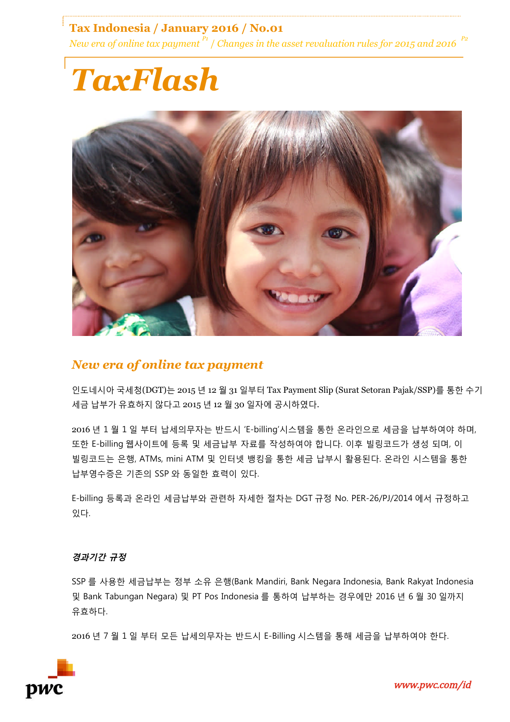**Tax Indonesia / January 2016 / No.01** *New era of online tax payment*  $P_1$  / *Changes in the asset revaluation rules for 2015 and 2016* 

# *TaxFlash*



### *New era of online tax payment*

인도네시아 국세청(DGT)는 2015 년 12 월 31 일부터 Tax Payment Slip (Surat Setoran Pajak/SSP)를 통한 수기 세금 납부가 유효하지 않다고 2015 년 12 월 30 일자에 공시하였다.

2016 년 1 월 1 일 부터 납세의무자는 반드시 'E-billing'시스템을 통한 온라인으로 세금을 납부하여야 하며, 또한 E-billing 웹사이트에 등록 및 세금납부 자료를 작성하여야 합니다. 이후 빌링코드가 생성 되며, 이 빌링코드는 은행, ATMs, mini ATM 및 인터넷 뱅킹을 통한 세금 납부시 활용된다. 온라인 시스템을 통한 납부영수증은 기존의 SSP 와 동일한 효력이 있다.

E-billing 등록과 온라인 세금납부와 관련하 자세한 절차는 DGT 규정 No. PER-26/PJ/2014 에서 규정하고 있다.

#### **경과기간 규정**

SSP 를 사용한 세금납부는 정부 소유 은행(Bank Mandiri, Bank Negara Indonesia, Bank Rakyat Indonesia 및 Bank Tabungan Negara) 및 PT Pos Indonesia 를 통하여 납부하는 경우에만 2016 년 6 월 30 일까지 유효하다.

2016 년 7 월 1 일 부터 모든 납세의무자는 반드시 E-Billing 시스템을 통해 세금을 납부하여야 한다.

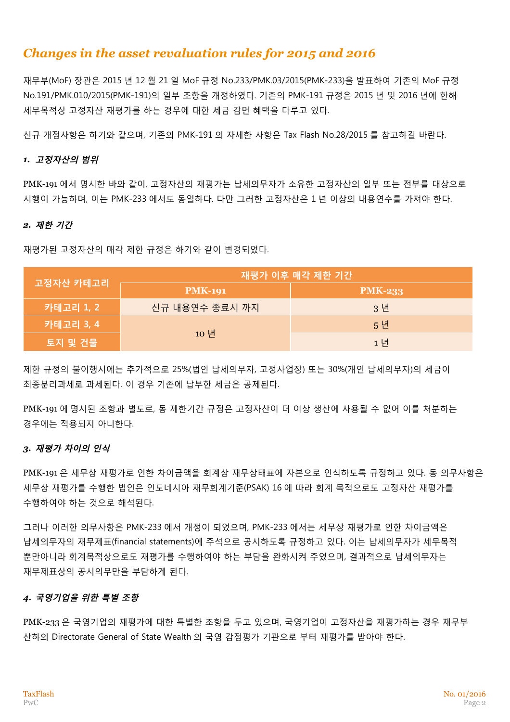## *Changes in the asset revaluation rules for 2015 and 2016*

재무부(MoF) 장관은 2015 년 12 월 21 일 MoF 규정 No.233/PMK.03/2015(PMK-233)을 발표하여 기존의 MoF 규정 No.191/PMK.010/2015(PMK-191)의 일부 조항을 개정하였다. 기존의 PMK-191 규정은 2015 년 및 2016 년에 한해 세무목적상 고정자산 재평가를 하는 경우에 대한 세금 감면 혜택을 다루고 있다.

신규 개정사항은 하기와 같으며, 기존의 PMK-191 의 자세한 사항은 Tax Flash No.28/2015 를 참고하길 바란다.

#### *1.* **고정자산의 범위**

PMK-191 에서 명시한 바와 같이, 고정자산의 재평가는 납세의무자가 소유한 고정자산의 일부 또는 전부를 대상으로 시행이 가능하며, 이는 PMK-233 에서도 동일하다. 다만 그러한 고정자산은 1 년 이상의 내용연수를 가져야 한다.

#### *2.* **제한 기간**

재평가된 고정자산의 매각 제한 규정은 하기와 같이 변경되었다.

| 고정자산 카테고리 | 재평가 이후 매각 제한 기간 |                |
|-----------|-----------------|----------------|
|           | <b>PMK-191</b>  | <b>PMK-233</b> |
| 카테고리 1, 2 | 신규 내용연수 종료시 까지  | 3년             |
| 카테고리 3, 4 | 10 년            | 5년             |
| 토지 및 건물   |                 | 1 년            |

제한 규정의 불이행시에는 추가적으로 25%(법인 납세의무자, 고정사업장) 또는 30%(개인 납세의무자)의 세금이 최종분리과세로 과세된다. 이 경우 기존에 납부한 세금은 공제된다.

PMK-191 에 명시된 조항과 별도로, 동 제한기간 규정은 고정자산이 더 이상 생산에 사용될 수 없어 이를 처분하는 경우에는 적용되지 아니한다.

#### *3.* **재평가 차이의 인식**

PMK-191 은 세무상 재평가로 인한 차이금액을 회계상 재무상태표에 자본으로 인식하도록 규정하고 있다. 동 의무사항은 세무상 재평가를 수행한 법인은 인도네시아 재무회계기준(PSAK) 16 에 따라 회계 목적으로도 고정자산 재평가를 수행하여야 하는 것으로 해석된다.

그러나 이러한 의무사항은 PMK-233 에서 개정이 되었으며, PMK-233 에서는 세무상 재평가로 인한 차이금액은 납세의무자의 재무제표(financial statements)에 주석으로 공시하도록 규정하고 있다. 이는 납세의무자가 세무목적 뿐만아니라 회계목적상으로도 재평가를 수행하여야 하는 부담을 완화시켜 주었으며, 결과적으로 납세의무자는 재무제표상의 공시의무만을 부담하게 된다.

#### *4.* **국영기업을 위한 특별 조항**

PMK-233 은 국영기업의 재평가에 대한 특별한 조항을 두고 있으며, 국영기업이 고정자산을 재평가하는 경우 재무부 산하의 Directorate General of State Wealth 의 국영 감정평가 기관으로 부터 재평가를 받아야 한다.